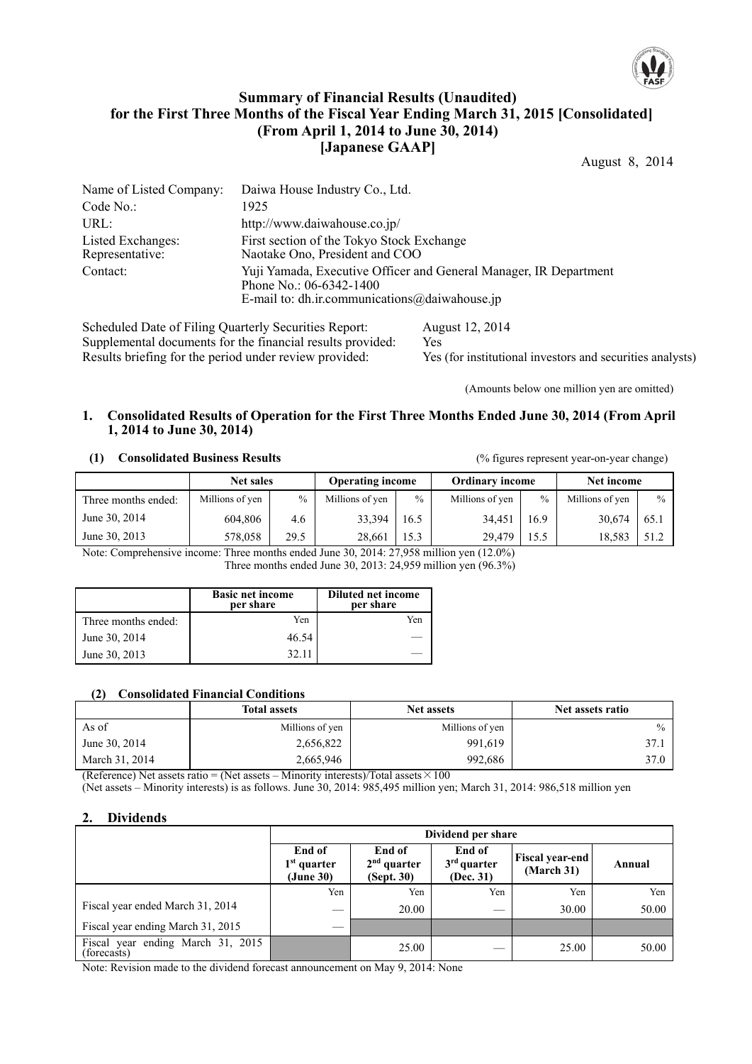

## **Summary of Financial Results (Unaudited) for the First Three Months of the Fiscal Year Ending March 31, 2015 [Consolidated] (From April 1, 2014 to June 30, 2014) [Japanese GAAP]**

August 8, 2014

| Name of Listed Company:              | Daiwa House Industry Co., Ltd.                                                                                                                      |
|--------------------------------------|-----------------------------------------------------------------------------------------------------------------------------------------------------|
| Code No.:                            | 1925                                                                                                                                                |
| URL:                                 | http://www.daiwahouse.co.jp/                                                                                                                        |
| Listed Exchanges:<br>Representative: | First section of the Tokyo Stock Exchange<br>Naotake Ono, President and COO                                                                         |
| Contact:                             | Yuji Yamada, Executive Officer and General Manager, IR Department<br>Phone No.: $06-6342-1400$<br>E-mail to: dh.ir.communications $@$ daiwahouse.jp |

Scheduled Date of Filing Quarterly Securities Report: August 12, 2014 Supplemental documents for the financial results provided: Yes Results briefing for the period under review provided: Yes (for institutional investors and securities analysts)

(Amounts below one million yen are omitted)

### **1. Consolidated Results of Operation for the First Three Months Ended June 30, 2014 (From April 1, 2014 to June 30, 2014)**

#### **(1) Consolidated Business Results** (% figures represent year-on-year change)

|                     | <b>Net sales</b> |               | <b>Operating income</b> |               | <b>Ordinary income</b> |               | Net income      |      |
|---------------------|------------------|---------------|-------------------------|---------------|------------------------|---------------|-----------------|------|
| Three months ended: | Millions of yen  | $\frac{0}{0}$ | Millions of yen         | $\frac{0}{0}$ | Millions of yen        | $\frac{0}{0}$ | Millions of yen | $\%$ |
| June 30, 2014       | 604.806          | 4.6           | 33.394                  | 16.5          | 34.451                 | 16.9          | 30.674          | 65.1 |
| June 30, 2013       | 578,058          | 29.5          | 28.661                  | 15.3          | 29.479                 | 15.5          | 18.583          | 51.2 |

Note: Comprehensive income: Three months ended June 30, 2014: 27,958 million yen (12.0%) Three months ended June 30, 2013: 24,959 million yen (96.3%)

|                     | <b>Basic net income</b><br>per share | <b>Diluted net income</b><br>per share |
|---------------------|--------------------------------------|----------------------------------------|
| Three months ended: | Yen                                  | Yen                                    |
| June 30, 2014       | 46.54                                |                                        |
| June 30, 2013       | 32.11                                |                                        |

#### **(2) Consolidated Financial Conditions**

|                | <b>Total assets</b> | <b>Net assets</b> | Net assets ratio |
|----------------|---------------------|-------------------|------------------|
| As of          | Millions of yen     | Millions of yen   | $\frac{0}{0}$    |
| June 30, 2014  | 2,656,822           | 991,619           | 37.1             |
| March 31, 2014 | 2,665,946           | 992.686           | 37.0             |

(Reference) Net assets ratio = (Net assets – Minority interests)/Total assets  $\times 100$ 

(Net assets – Minority interests) is as follows. June 30, 2014: 985,495 million yen; March 31, 2014: 986,518 million yen

## **2. Dividends**

|                                                  | Dividend per share                   |                                       |                                      |                                      |        |  |  |
|--------------------------------------------------|--------------------------------------|---------------------------------------|--------------------------------------|--------------------------------------|--------|--|--|
|                                                  | End of<br>$1st$ quarter<br>(June 30) | End of<br>$2nd$ quarter<br>(Sept. 30) | End of<br>$3rd$ quarter<br>(Dec. 31) | <b>Fiscal year-end</b><br>(March 31) | Annual |  |  |
|                                                  | Yen                                  | Yen                                   | Yen                                  | Yen                                  | Yen    |  |  |
| Fiscal year ended March 31, 2014                 | __                                   | 20.00                                 |                                      | 30.00                                | 50.00  |  |  |
| Fiscal year ending March 31, 2015                | _                                    |                                       |                                      |                                      |        |  |  |
| Fiscal year ending March 31, 2015<br>(forecasts) |                                      | 25.00                                 |                                      | 25.00                                | 50.00  |  |  |

Note: Revision made to the dividend forecast announcement on May 9, 2014: None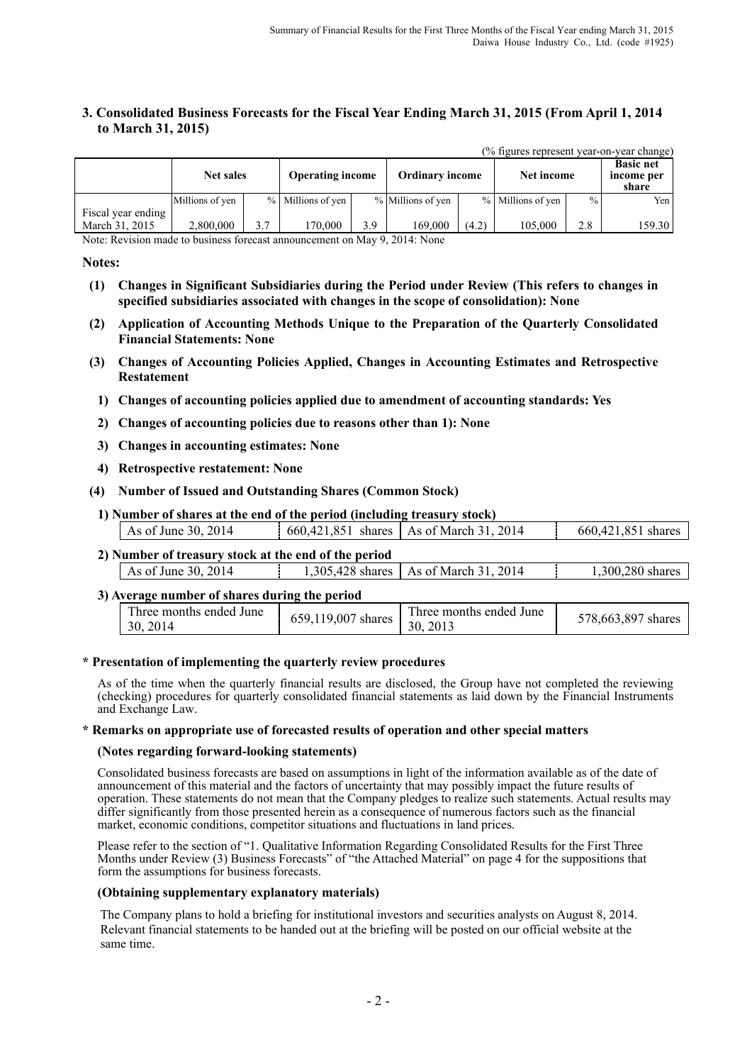$(0)$  figures represent year-on-year change)

## **3. Consolidated Business Forecasts for the Fiscal Year Ending March 31, 2015 (From April 1, 2014 to March 31, 2015)**

|                    | <b>Net sales</b> |     | <b>Operating income</b> |     | <b>Ordinary income</b> |       | Net income        |               | <b>Basic net</b><br>income per<br>share |
|--------------------|------------------|-----|-------------------------|-----|------------------------|-------|-------------------|---------------|-----------------------------------------|
|                    | Millions of yen  |     | % Millions of yen       |     | % Millions of yen      |       | % Millions of yen | $\frac{0}{0}$ | Yen I                                   |
| Fiscal year ending |                  |     |                         |     |                        |       |                   |               |                                         |
| March 31, 2015     | 2,800,000        | 3.7 | 170.000                 | 3.9 | 169,000                | (4.2) | 105,000           | 2.8           | 159.30                                  |

Note: Revision made to business forecast announcement on May 9, 2014: None

### **Notes:**

- **(1) Changes in Significant Subsidiaries during the Period under Review (This refers to changes in specified subsidiaries associated with changes in the scope of consolidation): None**
- **(2) Application of Accounting Methods Unique to the Preparation of the Quarterly Consolidated Financial Statements: None**
- **(3) Changes of Accounting Policies Applied, Changes in Accounting Estimates and Retrospective Restatement** 
	- **1) Changes of accounting policies applied due to amendment of accounting standards: Yes**
	- **2) Changes of accounting policies due to reasons other than 1): None**
	- **3) Changes in accounting estimates: None**
	- **4) Retrospective restatement: None**
- **(4) Number of Issued and Outstanding Shares (Common Stock)**
- **1) Number of shares at the end of the period (including treasury stock)**

| As of June 30, 2014 | 660,421,851 | shares As of March 31, 2014 | 660.421.851 shares |
|---------------------|-------------|-----------------------------|--------------------|
|                     |             |                             |                    |

#### **2) Number of treasury stock at the end of the period** As of June 30, 2014 1,305,428 shares As of March 31, 2014 1,300,280 shares

| 3) Average number of shares during the period |                    |                                     |                    |
|-----------------------------------------------|--------------------|-------------------------------------|--------------------|
| Three months ended June<br>30, 2014           | 659,119,007 shares | Three months ended June<br>30, 2013 | 578,663,897 shares |

### **\* Presentation of implementing the quarterly review procedures**

As of the time when the quarterly financial results are disclosed, the Group have not completed the reviewing (checking) procedures for quarterly consolidated financial statements as laid down by the Financial Instruments and Exchange Law.

#### **\* Remarks on appropriate use of forecasted results of operation and other special matters**

### **(Notes regarding forward-looking statements)**

Consolidated business forecasts are based on assumptions in light of the information available as of the date of announcement of this material and the factors of uncertainty that may possibly impact the future results of operation. These statements do not mean that the Company pledges to realize such statements. Actual results may differ significantly from those presented herein as a consequence of numerous factors such as the financial market, economic conditions, competitor situations and fluctuations in land prices.

Please refer to the section of "1. Qualitative Information Regarding Consolidated Results for the First Three Months under Review (3) Business Forecasts" of "the Attached Material" on page 4 for the suppositions that form the assumptions for business forecasts.

#### **(Obtaining supplementary explanatory materials)**

The Company plans to hold a briefing for institutional investors and securities analysts on August 8, 2014. Relevant financial statements to be handed out at the briefing will be posted on our official website at the same time.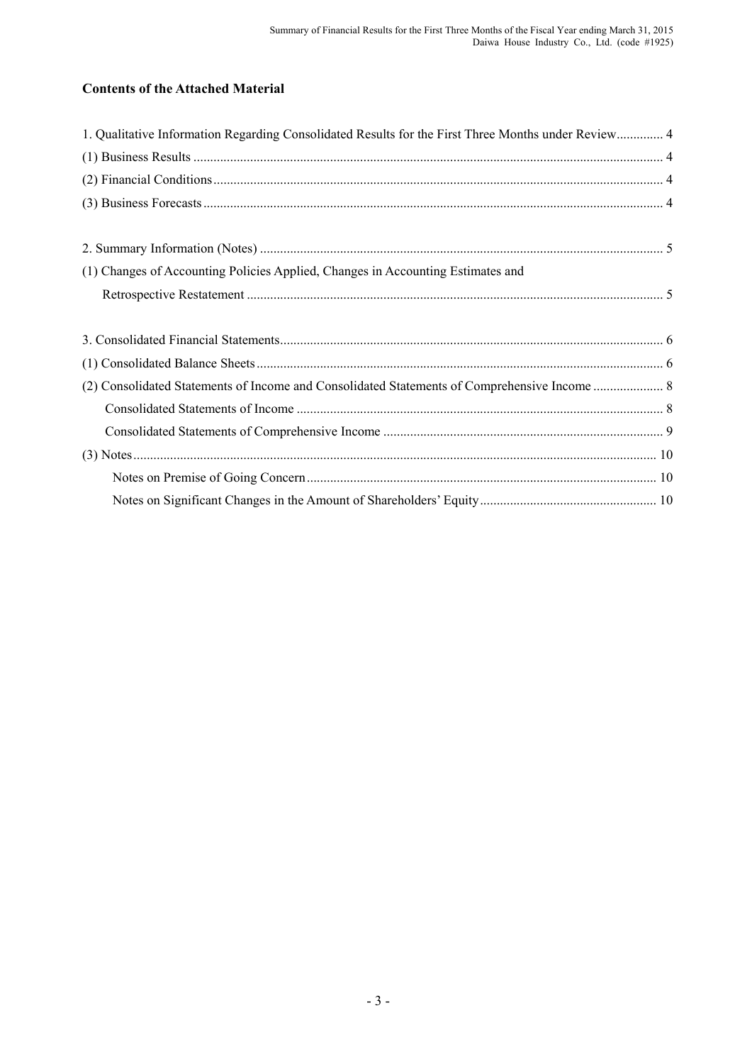# **Contents of the Attached Material**

| 1. Qualitative Information Regarding Consolidated Results for the First Three Months under Review 4 |  |
|-----------------------------------------------------------------------------------------------------|--|
|                                                                                                     |  |
|                                                                                                     |  |
|                                                                                                     |  |
|                                                                                                     |  |
|                                                                                                     |  |
| (1) Changes of Accounting Policies Applied, Changes in Accounting Estimates and                     |  |
|                                                                                                     |  |
|                                                                                                     |  |
|                                                                                                     |  |
|                                                                                                     |  |
|                                                                                                     |  |
|                                                                                                     |  |
|                                                                                                     |  |
|                                                                                                     |  |
|                                                                                                     |  |
|                                                                                                     |  |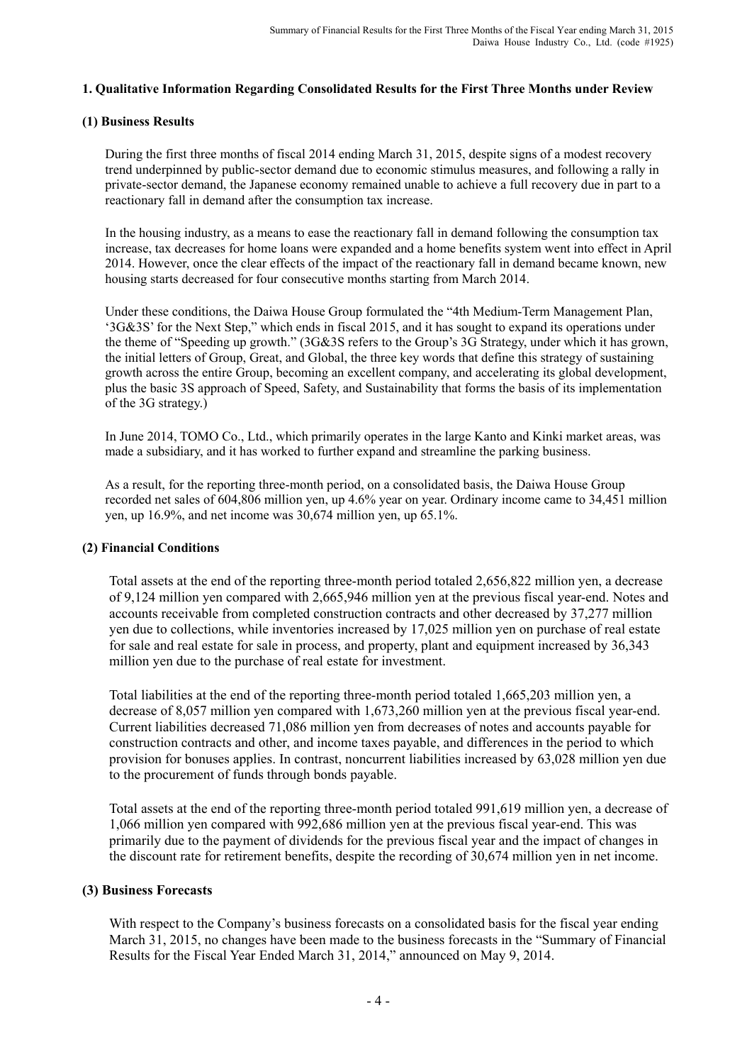## **1. Qualitative Information Regarding Consolidated Results for the First Three Months under Review**

## **(1) Business Results**

During the first three months of fiscal 2014 ending March 31, 2015, despite signs of a modest recovery trend underpinned by public-sector demand due to economic stimulus measures, and following a rally in private-sector demand, the Japanese economy remained unable to achieve a full recovery due in part to a reactionary fall in demand after the consumption tax increase.

In the housing industry, as a means to ease the reactionary fall in demand following the consumption tax increase, tax decreases for home loans were expanded and a home benefits system went into effect in April 2014. However, once the clear effects of the impact of the reactionary fall in demand became known, new housing starts decreased for four consecutive months starting from March 2014.

Under these conditions, the Daiwa House Group formulated the "4th Medium-Term Management Plan, '3G&3S' for the Next Step," which ends in fiscal 2015, and it has sought to expand its operations under the theme of "Speeding up growth." (3G&3S refers to the Group's 3G Strategy, under which it has grown, the initial letters of Group, Great, and Global, the three key words that define this strategy of sustaining growth across the entire Group, becoming an excellent company, and accelerating its global development, plus the basic 3S approach of Speed, Safety, and Sustainability that forms the basis of its implementation of the 3G strategy.)

In June 2014, TOMO Co., Ltd., which primarily operates in the large Kanto and Kinki market areas, was made a subsidiary, and it has worked to further expand and streamline the parking business.

As a result, for the reporting three-month period, on a consolidated basis, the Daiwa House Group recorded net sales of 604,806 million yen, up 4.6% year on year. Ordinary income came to 34,451 million yen, up 16.9%, and net income was 30,674 million yen, up 65.1%.

## **(2) Financial Conditions**

Total assets at the end of the reporting three-month period totaled 2,656,822 million yen, a decrease of 9,124 million yen compared with 2,665,946 million yen at the previous fiscal year-end. Notes and accounts receivable from completed construction contracts and other decreased by 37,277 million yen due to collections, while inventories increased by 17,025 million yen on purchase of real estate for sale and real estate for sale in process, and property, plant and equipment increased by 36,343 million yen due to the purchase of real estate for investment.

Total liabilities at the end of the reporting three-month period totaled 1,665,203 million yen, a decrease of 8,057 million yen compared with 1,673,260 million yen at the previous fiscal year-end. Current liabilities decreased 71,086 million yen from decreases of notes and accounts payable for construction contracts and other, and income taxes payable, and differences in the period to which provision for bonuses applies. In contrast, noncurrent liabilities increased by 63,028 million yen due to the procurement of funds through bonds payable.

Total assets at the end of the reporting three-month period totaled 991,619 million yen, a decrease of 1,066 million yen compared with 992,686 million yen at the previous fiscal year-end. This was primarily due to the payment of dividends for the previous fiscal year and the impact of changes in the discount rate for retirement benefits, despite the recording of 30,674 million yen in net income.

## **(3) Business Forecasts**

With respect to the Company's business forecasts on a consolidated basis for the fiscal year ending March 31, 2015, no changes have been made to the business forecasts in the "Summary of Financial Results for the Fiscal Year Ended March 31, 2014," announced on May 9, 2014.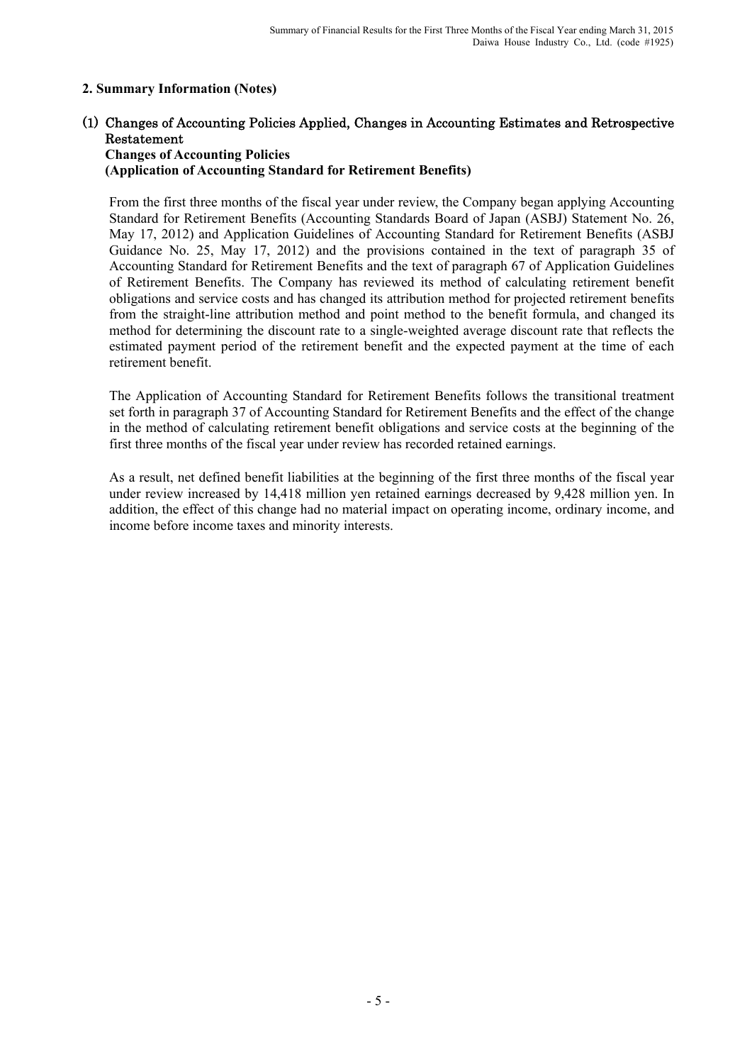# **2. Summary Information (Notes)**

# (1) Changes of Accounting Policies Applied, Changes in Accounting Estimates and Retrospective Restatement

### **Changes of Accounting Policies (Application of Accounting Standard for Retirement Benefits)**

From the first three months of the fiscal year under review, the Company began applying Accounting Standard for Retirement Benefits (Accounting Standards Board of Japan (ASBJ) Statement No. 26, May 17, 2012) and Application Guidelines of Accounting Standard for Retirement Benefits (ASBJ Guidance No. 25, May 17, 2012) and the provisions contained in the text of paragraph 35 of Accounting Standard for Retirement Benefits and the text of paragraph 67 of Application Guidelines of Retirement Benefits. The Company has reviewed its method of calculating retirement benefit obligations and service costs and has changed its attribution method for projected retirement benefits from the straight-line attribution method and point method to the benefit formula, and changed its method for determining the discount rate to a single-weighted average discount rate that reflects the estimated payment period of the retirement benefit and the expected payment at the time of each retirement benefit.

The Application of Accounting Standard for Retirement Benefits follows the transitional treatment set forth in paragraph 37 of Accounting Standard for Retirement Benefits and the effect of the change in the method of calculating retirement benefit obligations and service costs at the beginning of the first three months of the fiscal year under review has recorded retained earnings.

As a result, net defined benefit liabilities at the beginning of the first three months of the fiscal year under review increased by 14,418 million yen retained earnings decreased by 9,428 million yen. In addition, the effect of this change had no material impact on operating income, ordinary income, and income before income taxes and minority interests.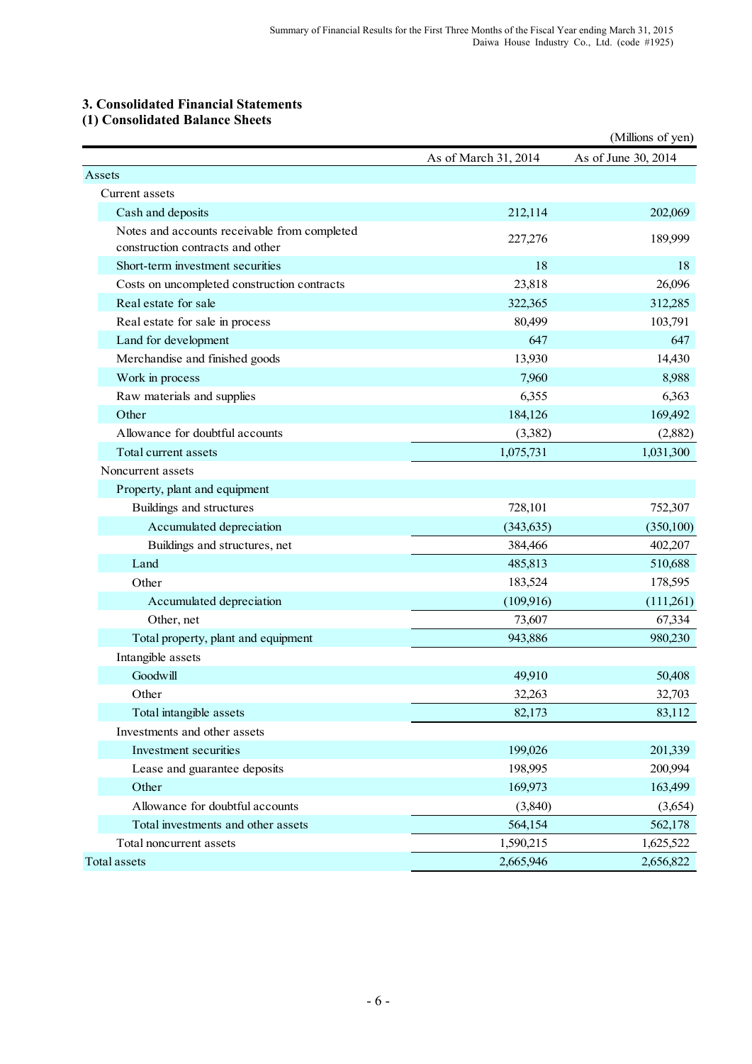# **3. Consolidated Financial Statements**

# **(1) Consolidated Balance Sheets**

|                                                                                  |                      | (Millions of yen)   |
|----------------------------------------------------------------------------------|----------------------|---------------------|
|                                                                                  | As of March 31, 2014 | As of June 30, 2014 |
| Assets                                                                           |                      |                     |
| Current assets                                                                   |                      |                     |
| Cash and deposits                                                                | 212,114              | 202,069             |
| Notes and accounts receivable from completed<br>construction contracts and other | 227,276              | 189,999             |
| Short-term investment securities                                                 | 18                   | 18                  |
| Costs on uncompleted construction contracts                                      | 23,818               | 26,096              |
| Real estate for sale                                                             | 322,365              | 312,285             |
| Real estate for sale in process                                                  | 80,499               | 103,791             |
| Land for development                                                             | 647                  | 647                 |
| Merchandise and finished goods                                                   | 13,930               | 14,430              |
| Work in process                                                                  | 7,960                | 8,988               |
| Raw materials and supplies                                                       | 6,355                | 6,363               |
| Other                                                                            | 184,126              | 169,492             |
| Allowance for doubtful accounts                                                  | (3,382)              | (2,882)             |
| Total current assets                                                             | 1,075,731            | 1,031,300           |
| Noncurrent assets                                                                |                      |                     |
| Property, plant and equipment                                                    |                      |                     |
| Buildings and structures                                                         | 728,101              | 752,307             |
| Accumulated depreciation                                                         | (343, 635)           | (350, 100)          |
| Buildings and structures, net                                                    | 384,466              | 402,207             |
| Land                                                                             | 485,813              | 510,688             |
| Other                                                                            | 183,524              | 178,595             |
| Accumulated depreciation                                                         | (109,916)            | (111,261)           |
| Other, net                                                                       | 73,607               | 67,334              |
| Total property, plant and equipment                                              | 943,886              | 980,230             |
| Intangible assets                                                                |                      |                     |
| Goodwill                                                                         | 49,910               | 50,408              |
| Other                                                                            | 32,263               | 32,703              |
| Total intangible assets                                                          | 82,173               | 83,112              |
| Investments and other assets                                                     |                      |                     |
| Investment securities                                                            | 199,026              | 201,339             |
| Lease and guarantee deposits                                                     | 198,995              | 200,994             |
| Other                                                                            | 169,973              | 163,499             |
| Allowance for doubtful accounts                                                  | (3,840)              | (3,654)             |
| Total investments and other assets                                               | 564,154              | 562,178             |
| Total noncurrent assets                                                          | 1,590,215            | 1,625,522           |
| Total assets                                                                     | 2,665,946            | 2,656,822           |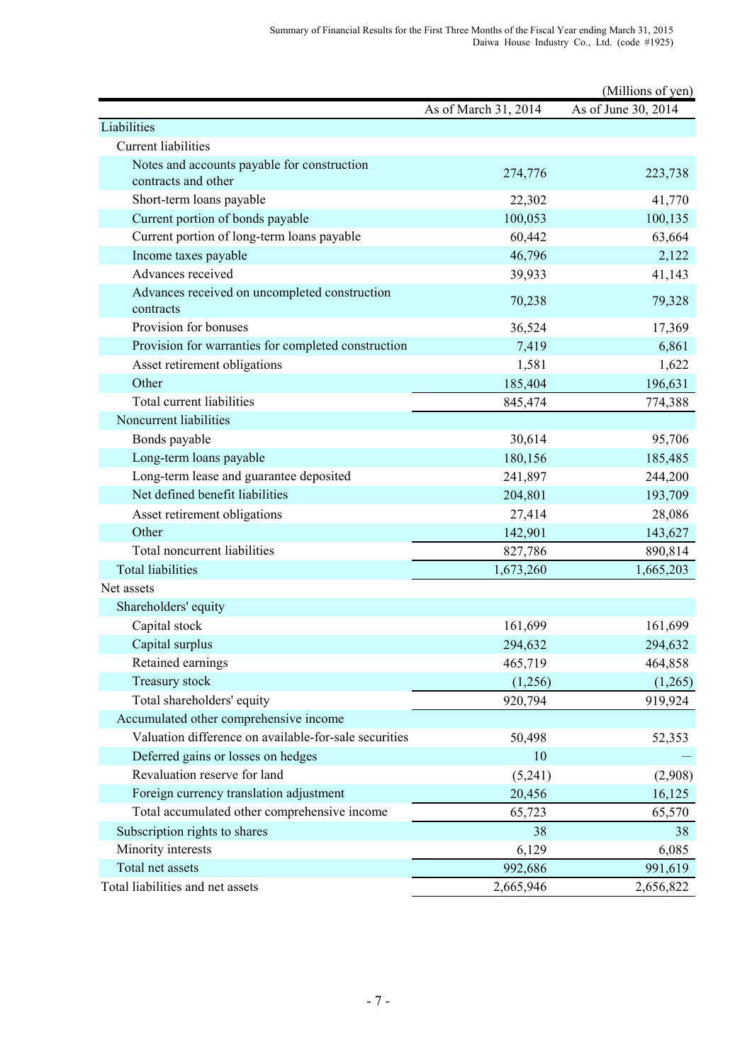|                                                            |                      | (Millions of yen)   |
|------------------------------------------------------------|----------------------|---------------------|
|                                                            | As of March 31, 2014 | As of June 30, 2014 |
| Liabilities                                                |                      |                     |
| <b>Current liabilities</b>                                 |                      |                     |
| Notes and accounts payable for construction                | 274,776              | 223,738             |
| contracts and other                                        |                      |                     |
| Short-term loans payable                                   | 22,302               | 41,770              |
| Current portion of bonds payable                           | 100,053              | 100,135             |
| Current portion of long-term loans payable                 | 60,442               | 63,664              |
| Income taxes payable                                       | 46,796               | 2,122               |
| Advances received                                          | 39,933               | 41,143              |
| Advances received on uncompleted construction<br>contracts | 70,238               | 79,328              |
| Provision for bonuses                                      | 36,524               | 17,369              |
| Provision for warranties for completed construction        | 7,419                | 6,861               |
| Asset retirement obligations                               | 1,581                | 1,622               |
| Other                                                      | 185,404              | 196,631             |
| Total current liabilities                                  | 845,474              | 774,388             |
| Noncurrent liabilities                                     |                      |                     |
| Bonds payable                                              | 30,614               | 95,706              |
| Long-term loans payable                                    | 180,156              | 185,485             |
| Long-term lease and guarantee deposited                    | 241,897              | 244,200             |
| Net defined benefit liabilities                            | 204,801              | 193,709             |
| Asset retirement obligations                               | 27,414               | 28,086              |
| Other                                                      | 142,901              | 143,627             |
| Total noncurrent liabilities                               | 827,786              | 890,814             |
| <b>Total liabilities</b>                                   | 1,673,260            | 1,665,203           |
| Net assets                                                 |                      |                     |
| Shareholders' equity                                       |                      |                     |
| Capital stock                                              | 161,699              | 161,699             |
| Capital surplus                                            | 294,632              | 294,632             |
| Retained earnings                                          | 465,719              | 464,858             |
| Treasury stock                                             | (1,256)              | (1,265)             |
| Total shareholders' equity                                 | 920,794              | 919,924             |
| Accumulated other comprehensive income                     |                      |                     |
| Valuation difference on available-for-sale securities      | 50,498               | 52,353              |
| Deferred gains or losses on hedges                         | 10                   |                     |
| Revaluation reserve for land                               | (5,241)              | (2,908)             |
| Foreign currency translation adjustment                    | 20,456               | 16,125              |
| Total accumulated other comprehensive income               | 65,723               | 65,570              |
| Subscription rights to shares                              | 38                   | 38                  |
| Minority interests                                         | 6,129                | 6,085               |
| Total net assets                                           | 992,686              | 991,619             |
| Total liabilities and net assets                           | 2,665,946            | 2,656,822           |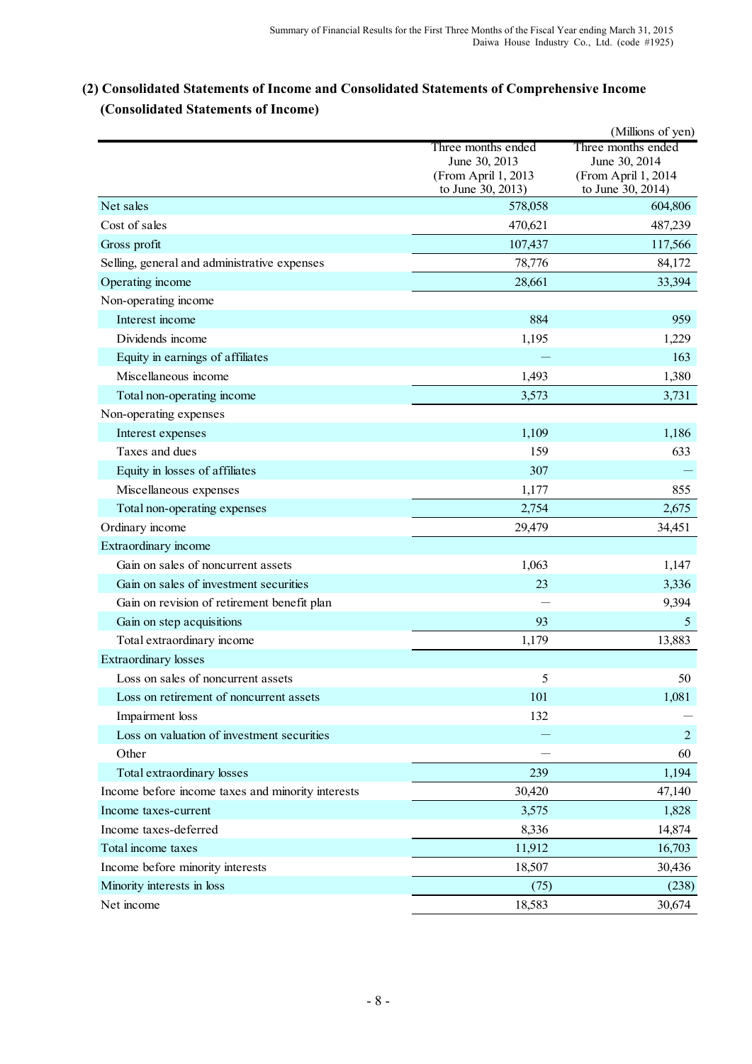# **(2) Consolidated Statements of Income and Consolidated Statements of Comprehensive Income (Consolidated Statements of Income)**

|                                                   |                                      | (Millions of yen)                    |
|---------------------------------------------------|--------------------------------------|--------------------------------------|
|                                                   | Three months ended                   | Three months ended                   |
|                                                   | June 30, 2013<br>(From April 1, 2013 | June 30, 2014<br>(From April 1, 2014 |
|                                                   | to June 30, 2013)                    | to June 30, 2014)                    |
| Net sales                                         | 578,058                              | 604,806                              |
| Cost of sales                                     | 470,621                              | 487,239                              |
| Gross profit                                      | 107,437                              | 117,566                              |
| Selling, general and administrative expenses      | 78,776                               | 84,172                               |
| Operating income                                  | 28,661                               | 33,394                               |
| Non-operating income                              |                                      |                                      |
| Interest income                                   | 884                                  | 959                                  |
| Dividends income                                  | 1,195                                | 1,229                                |
| Equity in earnings of affiliates                  |                                      | 163                                  |
| Miscellaneous income                              | 1,493                                | 1,380                                |
| Total non-operating income                        | 3,573                                | 3,731                                |
| Non-operating expenses                            |                                      |                                      |
| Interest expenses                                 | 1,109                                | 1,186                                |
| Taxes and dues                                    | 159                                  | 633                                  |
| Equity in losses of affiliates                    | 307                                  |                                      |
| Miscellaneous expenses                            | 1,177                                | 855                                  |
| Total non-operating expenses                      | 2,754                                | 2,675                                |
| Ordinary income                                   | 29,479                               | 34,451                               |
| Extraordinary income                              |                                      |                                      |
| Gain on sales of noncurrent assets                | 1,063                                | 1,147                                |
| Gain on sales of investment securities            | 23                                   | 3,336                                |
| Gain on revision of retirement benefit plan       |                                      | 9,394                                |
| Gain on step acquisitions                         | 93                                   | 5                                    |
| Total extraordinary income                        | 1,179                                | 13,883                               |
| <b>Extraordinary losses</b>                       |                                      |                                      |
| Loss on sales of noncurrent assets                | 5                                    | 50                                   |
| Loss on retirement of noncurrent assets           | 101                                  | 1,081                                |
| Impairment loss                                   | 132                                  |                                      |
| Loss on valuation of investment securities        |                                      | $\overline{2}$                       |
| Other                                             |                                      | 60                                   |
| Total extraordinary losses                        | 239                                  | 1,194                                |
| Income before income taxes and minority interests | 30,420                               | 47,140                               |
| Income taxes-current                              | 3,575                                | 1,828                                |
| Income taxes-deferred                             | 8,336                                | 14,874                               |
| Total income taxes                                | 11,912                               | 16,703                               |
| Income before minority interests                  | 18,507                               | 30,436                               |
| Minority interests in loss                        | (75)                                 | (238)                                |
| Net income                                        | 18,583                               | 30,674                               |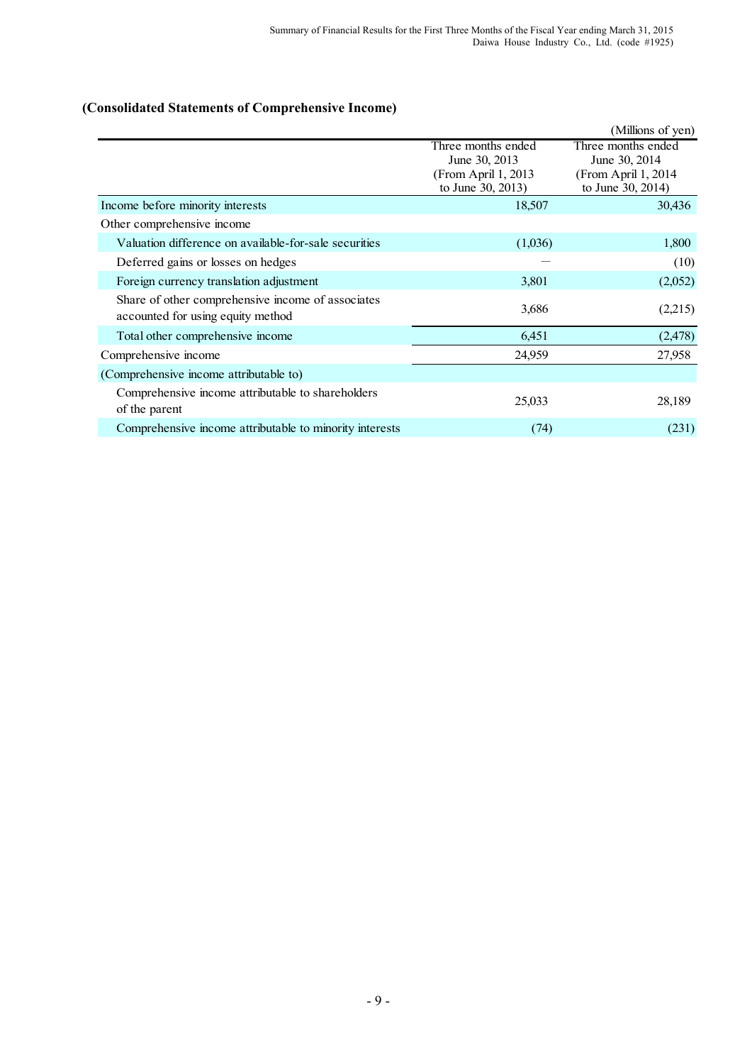# **(Consolidated Statements of Comprehensive Income)**

|                                                                                        |                                                                                  | (Millions of yen)                                                                |
|----------------------------------------------------------------------------------------|----------------------------------------------------------------------------------|----------------------------------------------------------------------------------|
|                                                                                        | Three months ended<br>June 30, 2013<br>(From April 1, 2013)<br>to June 30, 2013) | Three months ended<br>June 30, 2014<br>(From April 1, 2014)<br>to June 30, 2014) |
| Income before minority interests                                                       | 18,507                                                                           | 30,436                                                                           |
| Other comprehensive income                                                             |                                                                                  |                                                                                  |
| Valuation difference on available-for-sale securities                                  | (1,036)                                                                          | 1,800                                                                            |
| Deferred gains or losses on hedges                                                     |                                                                                  | (10)                                                                             |
| Foreign currency translation adjustment                                                | 3,801                                                                            | (2,052)                                                                          |
| Share of other comprehensive income of associates<br>accounted for using equity method | 3,686                                                                            | (2,215)                                                                          |
| Total other comprehensive income                                                       | 6,451                                                                            | (2, 478)                                                                         |
| Comprehensive income                                                                   | 24,959                                                                           | 27,958                                                                           |
| (Comprehensive income attributable to)                                                 |                                                                                  |                                                                                  |
| Comprehensive income attributable to shareholders<br>of the parent                     | 25,033                                                                           | 28,189                                                                           |
| Comprehensive income attributable to minority interests                                | (74)                                                                             | (231)                                                                            |